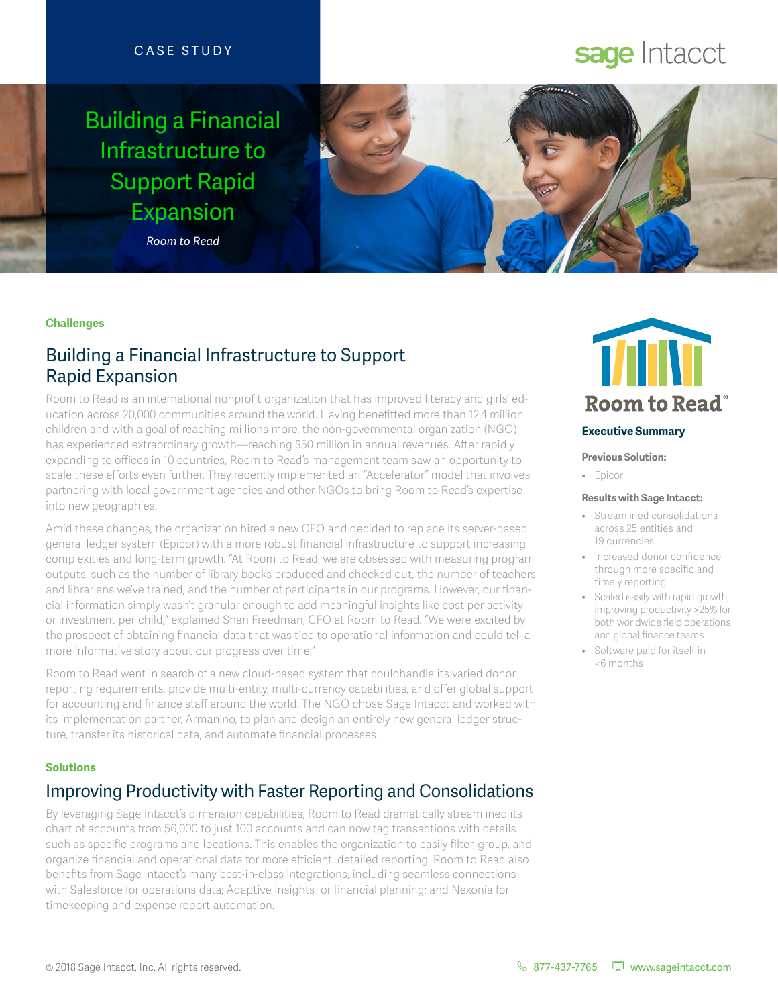## CASE STUDY

## Building a Financial Infrastructure to Support Rapid Expansion

*Room to Read*

# sage Intacct



#### **Challenges**

## Building a Financial Infrastructure to Support Rapid Expansion

Room to Read is an international nonprofit organization that has improved literacy and girls' education across 20,000 communities around the world. Having benefitted more than 12.4 million children and with a goal of reaching millions more, the non-governmental organization (NGO) has experienced extraordinary growth—reaching \$50 million in annual revenues. After rapidly expanding to offices in 10 countries, Room to Read's management team saw an opportunity to scale these efforts even further. They recently implemented an "Accelerator" model that involves partnering with local government agencies and other NGOs to bring Room to Read's expertise into new geographies.

Amid these changes, the organization hired a new CFO and decided to replace its server-based general ledger system (Epicor) with a more robust financial infrastructure to support increasing complexities and long-term growth. "At Room to Read, we are obsessed with measuring program outputs, such as the number of library books produced and checked out, the number of teachers and librarians we've trained, and the number of participants in our programs. However, our financial information simply wasn't granular enough to add meaningful insights like cost per activity or investment per child," explained Shari Freedman, CFO at Room to Read. "We were excited by the prospect of obtaining financial data that was tied to operational information and could tell a more informative story about our progress over time."

Room to Read went in search of a new cloud-based system that couldhandle its varied donor reporting requirements, provide multi-entity, multi-currency capabilities, and offer global support for accounting and finance staff around the world. The NGO chose Sage Intacct and worked with its implementation partner, Armanino, to plan and design an entirely new general ledger structure, transfer its historical data, and automate financial processes.

### **Solutions**

## Improving Productivity with Faster Reporting and Consolidations

By leveraging Sage Intacct's dimension capabilities, Room to Read dramatically streamlined its chart of accounts from 56,000 to just 100 accounts and can now tag transactions with details such as specific programs and locations. This enables the organization to easily filter, group, and organize financial and operational data for more efficient, detailed reporting. Room to Read also benefits from Sage Intacct's many best-in-class integrations, including seamless connections with Salesforce for operations data; Adaptive Insights for financial planning; and Nexonia for timekeeping and expense report automation.



#### **Executive Summary**

**Previous Solution:**

• Epicor

#### **Results with Sage Intacct:**

- Streamlined consolidations across 25 entities and 19 currencies
- Increased donor confidence through more specific and timely reporting
- Scaled easily with rapid growth, improving productivity >25% for both worldwide field operations and global finance teams
- Software paid for itself in <6 months